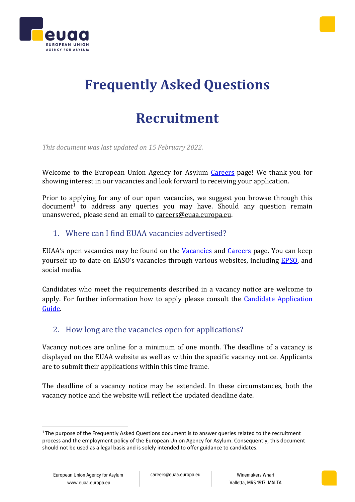



# **Frequently Asked Questions**

# **Recruitment**

*This document was last updated on 15 February 2022.*

Welcome to the European Union Agency for Asylum [Careers](https://euaa.europa.eu/careers) page! We thank you for showing interest in our vacancies and look forward to receiving your application.

Prior to applying for any of our open vacancies, we suggest you browse through this document<sup>1</sup> to address any queries you may have. Should any question remain unanswered, please send an email to [careers@euaa.europa.eu.](mailto:careers@easo.europa.eu)

### 1. Where can I find EUAA vacancies advertised?

EUAA's open vacancies may be found on the [Vacancies](https://euaa.europa.eu/careers/vacancies) and [Careers](https://euaa.europa.eu/careers) page. You can keep yourself up to date on EASO's vacancies through various websites, including [EPSO,](https://epso.europa.eu/job-opportunities_en) and social media.

Candidates who meet the requirements described in a vacancy notice are welcome to apply. For further information how to apply please consult the *Candidate Application* [Guide.](https://euaa.europa.eu/sites/default/files/2022-02/EUAA_Candidate_Application_Guide.pdf)

### 2. How long are the vacancies open for applications?

Vacancy notices are online for a minimum of one month. The deadline of a vacancy is displayed on the EUAA website as well as within the specific vacancy notice. Applicants are to submit their applications within this time frame.

The deadline of a vacancy notice may be extended. In these circumstances, both the vacancy notice and the website will reflect the updated deadline date.

<sup>&</sup>lt;sup>1</sup> The purpose of the Frequently Asked Questions document is to answer queries related to the recruitment process and the employment policy of the European Union Agency for Asylum. Consequently, this document should not be used as a legal basis and is solely intended to offer guidance to candidates.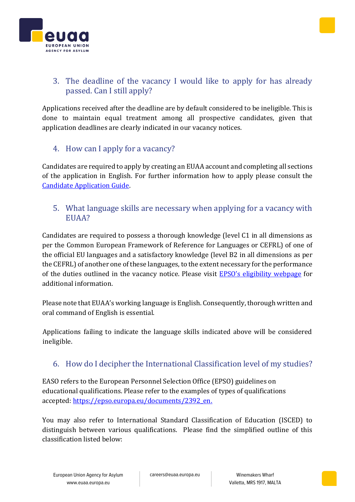



# 3. The deadline of the vacancy I would like to apply for has already passed. Can I still apply?

Applications received after the deadline are by default considered to be ineligible. This is done to maintain equal treatment among all prospective candidates, given that application deadlines are clearly indicated in our vacancy notices.

### 4. How can I apply for a vacancy?

Candidates are required to apply by creating an EUAA account and completing all sections of the application in English. For further information how to apply please consult the [Candidate Application Guide.](https://euaa.europa.eu/sites/default/files/2022-02/EUAA_Candidate_Application_Guide.pdf)

### 5. What language skills are necessary when applying for a vacancy with EUAA?

Candidates are required to possess a thorough knowledge (level C1 in all dimensions as per the Common European Framework of Reference for Languages or CEFRL) of one of the official EU languages and a satisfactory knowledge (level B2 in all dimensions as per the CEFRL) of another one of these languages, to the extent necessary for the performance of the duties outlined in the vacancy notice. Please visit **[EPSO's eligibility webpage](https://epso.europa.eu/how-to-apply/eligibility_en)** for additional information.

Please note that EUAA's working language is English. Consequently, thorough written and oral command of English is essential.

Applications failing to indicate the language skills indicated above will be considered ineligible.

### 6. How do I decipher the International Classification level of my studies?

EASO refers to the European Personnel Selection Office (EPSO) guidelines on educational qualifications. Please refer to the examples of types of qualifications accepted: [https://epso.europa.eu/documents/2392\\_en.](https://epso.europa.eu/documents/2392_en)

You may also refer to International Standard Classification of Education (ISCED) to distinguish between various qualifications. Please find the simplified outline of this classification listed below: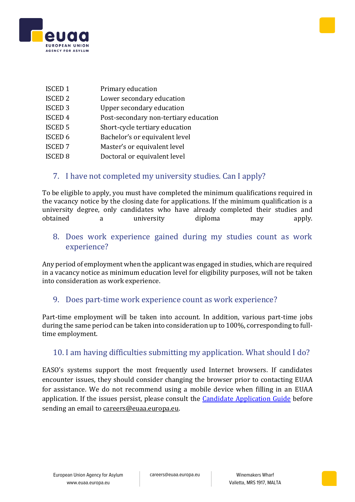



- ISCED 1 Primary education
- ISCED 2 Lower secondary education
- ISCED 3 Upper secondary education
- ISCED 4 Post-secondary non-tertiary education
- ISCED 5 Short-cycle tertiary education
- ISCED 6 Bachelor's or equivalent level
- ISCED 7 Master's or equivalent level
- ISCED 8 Doctoral or equivalent level
	- 7. I have not completed my university studies. Can I apply?

To be eligible to apply, you must have completed the minimum qualifications required in the vacancy notice by the closing date for applications. If the minimum qualification is a university degree, only candidates who have already completed their studies and obtained a university diploma may apply.

8. Does work experience gained during my studies count as work experience?

Any period of employment when the applicant was engaged in studies, which are required in a vacancy notice as minimum education level for eligibility purposes, will not be taken into consideration as work experience.

### 9. Does part-time work experience count as work experience?

Part-time employment will be taken into account. In addition, various part-time jobs during the same period can be taken into consideration up to 100%, corresponding to fulltime employment.

### 10. I am having difficulties submitting my application. What should I do?

EASO's systems support the most frequently used Internet browsers. If candidates encounter issues, they should consider changing the browser prior to contacting EUAA for assistance. We do not recommend using a mobile device when filling in an EUAA application. If the issues persist, please consult the **Candidate Application Guide** before sending an email to [careers@euaa.europa.eu.](mailto:careers@easo.europa.eu)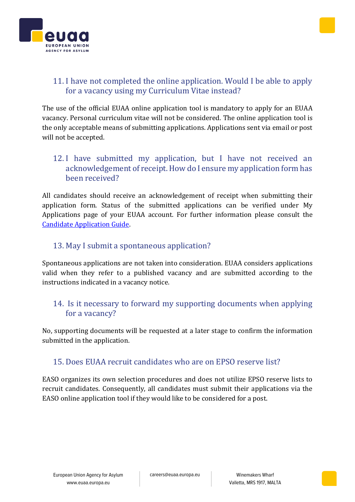# Valletta, MRS 1917, MALTA

# 15. Does EUAA recruit candidates who are on EPSO reserve list?

EASO organizes its own selection procedures and does not utilize EPSO reserve lists to recruit candidates. Consequently, all candidates must submit their applications via the EASO online application tool if they would like to be considered for a post.

### 11. I have not completed the online application. Would I be able to apply for a vacancy using my Curriculum Vitae instead?

The use of the official EUAA online application tool is mandatory to apply for an EUAA vacancy. Personal curriculum vitae will not be considered. The online application tool is the only acceptable means of submitting applications. Applications sent via email or post will not be accepted.

### 12. I have submitted my application, but I have not received an acknowledgement of receipt. How do I ensure my application form has been received?

All candidates should receive an acknowledgement of receipt when submitting their application form. Status of the submitted applications can be verified under My Applications page of your EUAA account. For further information please consult the [Candidate Application Guide.](https://euaa.europa.eu/sites/default/files/2022-02/EUAA_Candidate_Application_Guide.pdf)

### 13. May I submit a spontaneous application?

Spontaneous applications are not taken into consideration. EUAA considers applications valid when they refer to a published vacancy and are submitted according to the instructions indicated in a vacancy notice.

### 14. Is it necessary to forward my supporting documents when applying for a vacancy?

No, supporting documents will be requested at a later stage to confirm the information submitted in the application.

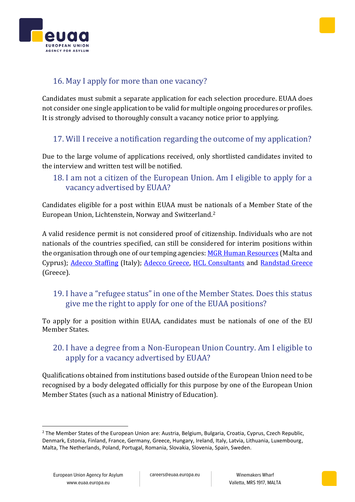# 16. May I apply for more than one vacancy?

Candidates must submit a separate application for each selection procedure. EUAA does not consider one single application to be valid for multiple ongoing procedures or profiles. It is strongly advised to thoroughly consult a vacancy notice prior to applying.

# 17. Will I receive a notification regarding the outcome of my application?

Due to the large volume of applications received, only shortlisted candidates invited to the interview and written test will be notified.

### 18. I am not a citizen of the European Union. Am I eligible to apply for a vacancy advertised by EUAA?

Candidates eligible for a post within EUAA must be nationals of a Member State of the European Union, Lichtenstein, Norway and Switzerland.<sup>2</sup>

A valid residence permit is not considered proof of citizenship. Individuals who are not nationals of the countries specified, can still be considered for interim positions within the organisation through one of our temping agencies: [MGR Human Resources](https://mgr-hr.com/vacancies/) (Malta and Cyprus); [Adecco Staffing](https://www.adecco.it/offerte-lavoro?display=5) (Italy); [Adecco Greece,](https://www.adecco.gr/en/) [HCL Consultants](http://hcl-consultants.com/) and [Randstad Greece](https://www.randstad.gr/en/) (Greece).

### 19. I have a "refugee status" in one of the Member States. Does this status give me the right to apply for one of the EUAA positions?

To apply for a position within EUAA, candidates must be nationals of one of the EU Member States.

### 20. I have a degree from a Non-European Union Country. Am I eligible to apply for a vacancy advertised by EUAA?

Qualifications obtained from institutions based outside of the European Union need to be recognised by a body delegated officially for this purpose by one of the European Union Member States (such as a national Ministry of Education).





<sup>&</sup>lt;sup>2</sup> The Member States of the European Union are: Austria, Belgium, Bulgaria, Croatia, Cyprus, Czech Republic, Denmark, Estonia, Finland, France, Germany, Greece, Hungary, Ireland, Italy, Latvia, Lithuania, Luxembourg, Malta, The Netherlands, Poland, Portugal, Romania, Slovakia, Slovenia, Spain, Sweden.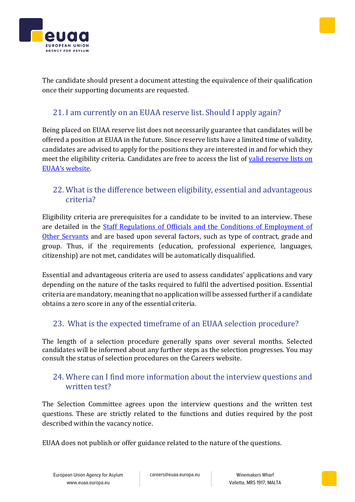

careers@euaa.europa.eu Winemakers Wharf



# 21. I am currently on an EUAA reserve list. Should I apply again?

Being placed on EUAA reserve list does not necessarily guarantee that candidates will be offered a position at EUAA in the future. Since reserve lists have a limited time of validity, candidates are advised to apply for the positions they are interested in and for which they meet the eligibility criteria. Candidates are free to access the list of valid reserve lists on EUAA['s website](https://euaa.europa.eu/sites/default/files/Decision_on_reserve_lists.pdf).

### 22. What is the difference between eligibility, essential and advantageous criteria?

Eligibility criteria are prerequisites for a candidate to be invited to an interview. These are detailed in the [Staff Regulations of Officials and the Conditions of Employment of](https://eur-lex.europa.eu/legal-content/EN/TXT/PDF/?uri=CELEX:01962R0031-20140501&from=EN)  [Other Servants](https://eur-lex.europa.eu/legal-content/EN/TXT/PDF/?uri=CELEX:01962R0031-20140501&from=EN) and are based upon several factors, such as type of contract, grade and group. Thus, if the requirements (education, professional experience, languages, citizenship) are not met, candidates will be automatically disqualified.

Essential and advantageous criteria are used to assess candidates' applications and vary depending on the nature of the tasks required to fulfil the advertised position. Essential criteria are mandatory, meaning that no application will be assessed further if a candidate obtains a zero score in any of the essential criteria.

### 23. What is the expected timeframe of an EUAA selection procedure?

The length of a selection procedure generally spans over several months. Selected candidates will be informed about any further steps as the selection progresses. You may consult the status of selection procedures on the [Careers](https://euaa.europa.eu/careers) website.

### 24. Where can I find more information about the interview questions and written test?

The Selection Committee agrees upon the interview questions and the written test questions. These are strictly related to the functions and duties required by the post described within the vacancy notice.

EUAA does not publish or offer guidance related to the nature of the questions.



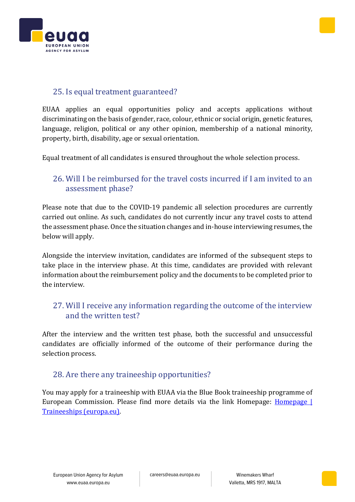



### 25. Is equal treatment guaranteed?

EUAA applies an equal opportunities policy and accepts applications without discriminating on the basis of gender, race, colour, ethnic or social origin, genetic features, language, religion, political or any other opinion, membership of a national minority, property, birth, disability, age or sexual orientation.

Equal treatment of all candidates is ensured throughout the whole selection process.

### 26. Will I be reimbursed for the travel costs incurred if I am invited to an assessment phase?

Please note that due to the COVID-19 pandemic all selection procedures are currently carried out online. As such, candidates do not currently incur any travel costs to attend the assessment phase. Once the situation changes and in-house interviewing resumes, the below will apply.

Alongside the interview invitation, candidates are informed of the subsequent steps to take place in the interview phase. At this time, candidates are provided with relevant information about the reimbursement policy and the documents to be completed prior to the interview.

### 27. Will I receive any information regarding the outcome of the interview and the written test?

After the interview and the written test phase, both the successful and unsuccessful candidates are officially informed of the outcome of their performance during the selection process.

### 28. Are there any traineeship opportunities?

You may apply for a traineeship with EUAA via the Blue Book traineeship programme of European Commission. Please find more details via the link Homepage: [Homepage |](https://traineeships.ec.europa.eu/)  [Traineeships \(europa.eu\).](https://traineeships.ec.europa.eu/)